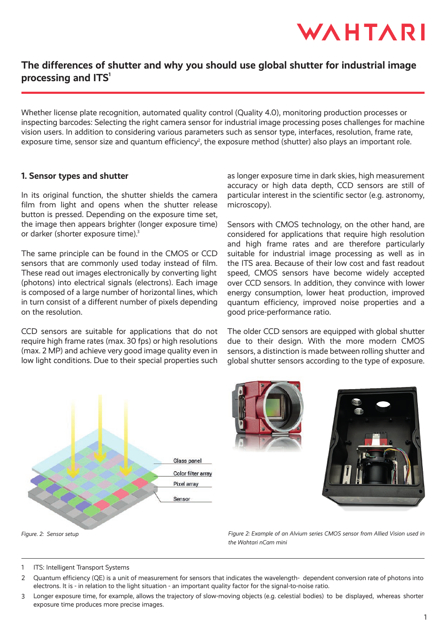

# **The differences of shutter and why you should use global shutter for industrial image** processing and **ITS**<sup>1</sup>

Whether license plate recognition, automated quality control (Quality 4.0), monitoring production processes or inspecting barcodes: Selecting the right camera sensor for industrial image processing poses challenges for machine vision users. In addition to considering various parameters such as sensor type, interfaces, resolution, frame rate, exposure time, sensor size and quantum efficiency<sup>2</sup>, the exposure method (shutter) also plays an important role.

### **1. Sensor types and shutter**

In its original function, the shutter shields the camera film from light and opens when the shutter release button is pressed. Depending on the exposure time set, the image then appears brighter (longer exposure time) or darker (shorter exposure time).<sup>3</sup>

The same principle can be found in the CMOS or CCD sensors that are commonly used today instead of film. These read out images electronically by converting light (photons) into electrical signals (electrons). Each image is composed of a large number of horizontal lines, which in turn consist of a different number of pixels depending on the resolution.

CCD sensors are suitable for applications that do not require high frame rates (max. 30 fps) or high resolutions (max. 2 MP) and achieve very good image quality even in low light conditions. Due to their special properties such as longer exposure time in dark skies, high measurement accuracy or high data depth, CCD sensors are still of particular interest in the scientific sector (e.g. astronomy, microscopy).

Sensors with CMOS technology, on the other hand, are considered for applications that require high resolution and high frame rates and are therefore particularly suitable for industrial image processing as well as in the ITS area. Because of their low cost and fast readout speed, CMOS sensors have become widely accepted over CCD sensors. In addition, they convince with lower energy consumption, lower heat production, improved quantum efficiency, improved noise properties and a good price-performance ratio.

The older CCD sensors are equipped with global shutter due to their design. With the more modern CMOS sensors, a distinction is made between rolling shutter and global shutter sensors according to the type of exposure.





*Figure 2: Example of an Alvium series CMOS sensor from Allied Vision used in the Wahtari nCam mini*

ITS: Intelligent Transport Systems 1

- Quantum efficiency (QE) is a unit of measurement for sensors that indicates the wavelength- dependent conversion rate of photons into electrons. It is - in relation to the light situation - an important quality factor for the signal-to-noise ratio.  $\mathcal{P}$
- Longer exposure time, for example, allows the trajectory of slow-moving objects (e.g. celestial bodies) to be displayed, whereas shorter exposure time produces more precise images. 3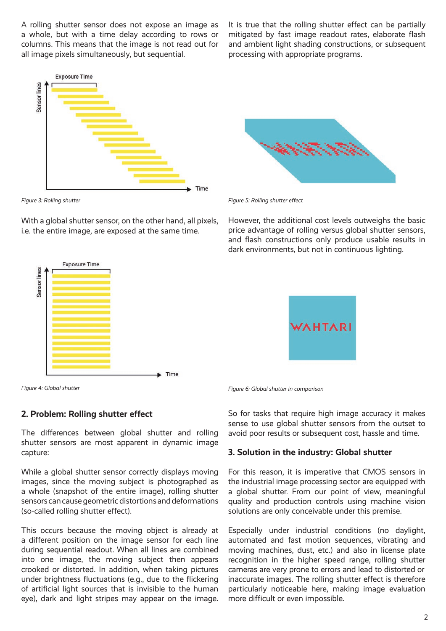A rolling shutter sensor does not expose an image as a whole, but with a time delay according to rows or columns. This means that the image is not read out for all image pixels simultaneously, but sequential.

**Exposure Time** Sensor lines Time

With a global shutter sensor, on the other hand, all pixels, i.e. the entire image, are exposed at the same time.



*Figure 4: Global shutter*

## **2. Problem: Rolling shutter effect**

The differences between global shutter and rolling shutter sensors are most apparent in dynamic image capture:

While a global shutter sensor correctly displays moving images, since the moving subject is photographed as a whole (snapshot of the entire image), rolling shutter sensors can cause geometric distortions and deformations (so-called rolling shutter effect).

This occurs because the moving object is already at a different position on the image sensor for each line during sequential readout. When all lines are combined into one image, the moving subject then appears crooked or distorted. In addition, when taking pictures under brightness fluctuations (e.g., due to the flickering of artificial light sources that is invisible to the human eye), dark and light stripes may appear on the image. It is true that the rolling shutter effect can be partially mitigated by fast image readout rates, elaborate flash and ambient light shading constructions, or subsequent processing with appropriate programs.



*Figure 3: Rolling shutter Figure 5: Rolling shutter effect*

However, the additional cost levels outweighs the basic price advantage of rolling versus global shutter sensors, and flash constructions only produce usable results in dark environments, but not in continuous lighting.



*Figure 6: Global shutter in comparison*

So for tasks that require high image accuracy it makes sense to use global shutter sensors from the outset to avoid poor results or subsequent cost, hassle and time.

#### **3. Solution in the industry: Global shutter**

For this reason, it is imperative that CMOS sensors in the industrial image processing sector are equipped with a global shutter. From our point of view, meaningful quality and production controls using machine vision solutions are only conceivable under this premise.

Especially under industrial conditions (no daylight, automated and fast motion sequences, vibrating and moving machines, dust, etc.) and also in license plate recognition in the higher speed range, rolling shutter cameras are very prone to errors and lead to distorted or inaccurate images. The rolling shutter effect is therefore particularly noticeable here, making image evaluation more difficult or even impossible.